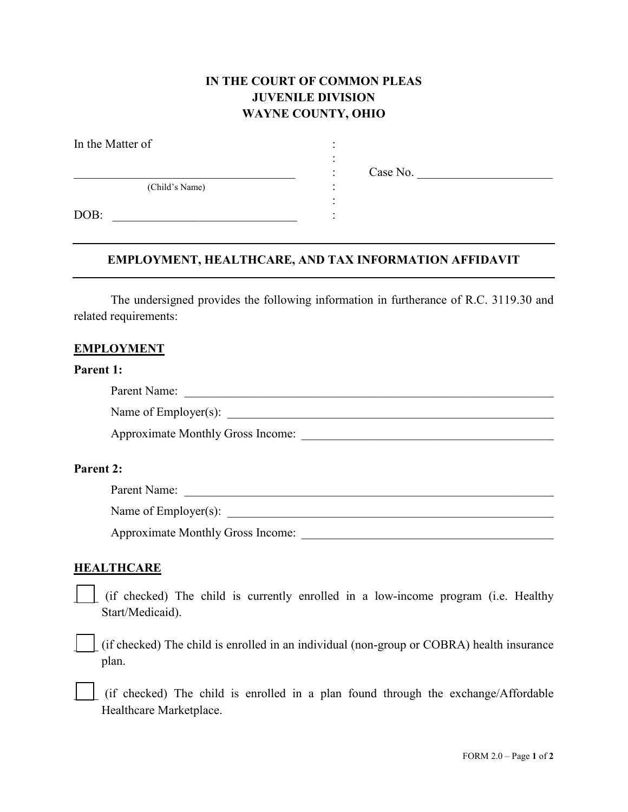## **IN THE COURT OF COMMON PLEAS JUVENILE DIVISION WAYNE COUNTY, OHIO**

| In the Matter of |  |
|------------------|--|
|                  |  |
| (Child's Name)   |  |
| DOB:             |  |

 $\therefore$  Case No.

# **EMPLOYMENT, HEALTHCARE, AND TAX INFORMATION AFFIDAVIT**

The undersigned provides the following information in furtherance of R.C. 3119.30 and related requirements:

#### **EMPLOYMENT**

#### **Parent 1:**

| Parent Name:                             |  |
|------------------------------------------|--|
| Name of Employer(s):                     |  |
| <b>Approximate Monthly Gross Income:</b> |  |

#### **Parent 2:**

| Pa <sub>1</sub><br>$\sim$ 110.<br>1 ui<br>UII 1 |  |
|-------------------------------------------------|--|
|                                                 |  |

Name of Employer(s): \_\_\_\_\_\_\_\_\_\_\_\_\_\_\_\_\_\_\_\_\_\_\_\_\_\_\_\_\_\_\_\_\_\_\_\_\_\_\_\_\_\_\_\_\_\_\_\_\_\_\_\_\_

Approximate Monthly Gross Income: \_\_\_\_\_\_\_\_\_\_\_\_\_\_\_\_\_\_\_\_\_\_\_\_\_\_\_\_\_\_\_\_\_\_\_\_\_\_\_\_\_

### **HEALTHCARE**

\_\_\_\_ (if checked) The child is currently enrolled in a low-income program (i.e. Healthy Start/Medicaid).

\_\_\_\_ (if checked) The child is enrolled in an individual (non-group or COBRA) health insurance plan.

\_\_\_\_ (if checked) The child is enrolled in a plan found through the exchange/Affordable Healthcare Marketplace.